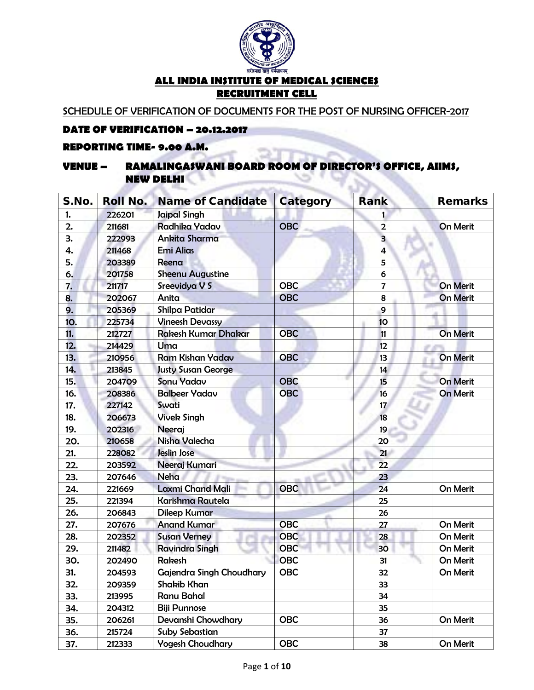

SCHEDULE OF VERIFICATION OF DOCUMENTS FOR THE POST OF NURSING OFFICER-2017

#### **DATE OF VERIFICATION – 20.12.2017**

#### **REPORTING TIME- 9.00 A.M.**

#### **VENUE – RAMALINGASWANI BOARD ROOM OF DIRECTOR'S OFFICE, AIIMS, NEW DELHI Constitution**  $\sim$

| S.No. | <b>Roll No.</b> | <b>Name of Candidate</b>   | <b>Category</b> | Rank                    | <b>Remarks</b>  |
|-------|-----------------|----------------------------|-----------------|-------------------------|-----------------|
| 1.    | 226201          | <b>Jaipal Singh</b>        |                 | 1                       |                 |
| 2.    | 211681          | Radhika Yadav              | <b>OBC</b>      | $\overline{2}$          | <b>On Merit</b> |
| З.    | 222993          | Ankita Sharma              |                 | $\overline{\mathbf{3}}$ |                 |
| 4.    | 211468          | <b>Emi Alias</b>           |                 | $\overline{\mathbf{4}}$ |                 |
| 5.    | 203389          | Reena                      |                 | 5                       |                 |
| 6.    | 201758          | <b>Sheenu Augustine</b>    |                 | 6                       |                 |
| 7.    | 211717          | Sreevidya V S              | <b>OBC</b>      | 7                       | <b>On Merit</b> |
| 8.    | 202067          | Anita                      | <b>OBC</b>      | 8                       | <b>On Merit</b> |
| 9.    | 205369          | <b>Shilpa Patidar</b>      |                 | 9                       |                 |
| 10.   | 225734          | <b>Vineesh Devassy</b>     |                 | 10                      |                 |
| 11.   | 212727          | <b>Rakesh Kumar Dhakar</b> | <b>OBC</b>      | 11                      | On Merit        |
| 12.   | 214429          | Uma                        |                 | 12                      |                 |
| 13.   | 210956          | <b>Ram Kishan Yadav</b>    | <b>OBC</b>      | 13                      | <b>On Merit</b> |
| 14.   | 213845          | <b>Justy Susan George</b>  |                 | 14                      |                 |
| 15.   | 204709          | <b>Sonu Yadav</b>          | <b>OBC</b>      | 15                      | <b>On Merit</b> |
| 16.   | 208386          | <b>Balbeer Yadav</b>       | <b>OBC</b>      | 16                      | <b>On Merit</b> |
| 17.   | 227142          | Swati                      |                 | 17                      |                 |
| 18.   | 206673          | <b>Vivek Singh</b>         |                 | 18                      |                 |
| 19.   | 202316          | Neeraj                     |                 | 19                      |                 |
| 20.   | 210658          | Nisha Valecha              |                 | 20                      |                 |
| 21.   | 228082          | Jeslin Jose                |                 | 21                      |                 |
| 22.   | 203592          | Neeraj Kumari              |                 | 22                      |                 |
| 23.   | 207646          | Neha                       |                 | 23                      |                 |
| 24.   | 221669          | <b>Laxmi Chand Mali</b>    | <b>OBC</b>      | 24                      | On Merit        |
| 25.   | 221394          | <b>Karishma Rautela</b>    |                 | 25                      |                 |
| 26.   | 206843          | <b>Dileep Kumar</b>        |                 | 26                      |                 |
| 27.   | 207676          | <b>Anand Kumar</b>         | <b>OBC</b>      | 27                      | On Merit        |
| 28.   | 202352          | <b>Susan Verney</b>        | <b>OBC</b>      | 28                      | On Merit        |
| 29.   | 211482          | <b>Ravindra Singh</b>      | <b>OBC</b>      | 30                      | On Merit        |
| 30.   | 202490          | Rakesh                     | <b>OBC</b>      | 31                      | On Merit        |
| 31.   | 204593          | Gajendra Singh Choudhary   | <b>OBC</b>      | 32                      | On Merit        |
| 32.   | 209359          | Shakib Khan                |                 | 33                      |                 |
| 33.   | 213995          | Ranu Bahal                 |                 | 34                      |                 |
| 34.   | 204312          | <b>Biji Punnose</b>        |                 | 35                      |                 |
| 35.   | 206261          | Devanshi Chowdhary         | <b>OBC</b>      | 36                      | On Merit        |
| 36.   | 215724          | Suby Sebastian             |                 | 37                      |                 |
| 37.   | 212333          | <b>Yogesh Choudhary</b>    | <b>OBC</b>      | 38                      | On Merit        |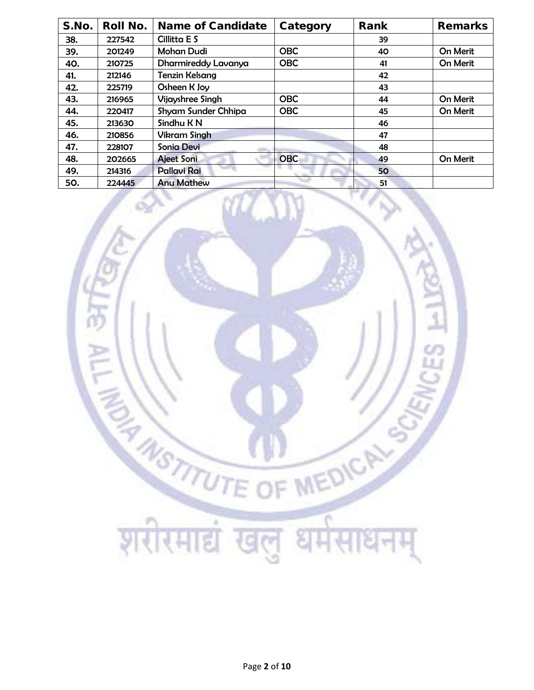| S.No. | <b>Roll No.</b> | <b>Name of Candidate</b> | Category   | Rank | <b>Remarks</b> |
|-------|-----------------|--------------------------|------------|------|----------------|
| 38.   | 227542          | Cillitta E S             |            | 39   |                |
| 39.   | 201249          | <b>Mohan Dudi</b>        | <b>OBC</b> | 40   | On Merit       |
| 40.   | 210725          | Dharmireddy Lavanya      | <b>OBC</b> | 41   | On Merit       |
| 41.   | 212146          | <b>Tenzin Kelsang</b>    |            | 42   |                |
| 42.   | 225719          | Osheen K Joy             |            | 43   |                |
| 43.   | 216965          | <b>Vijayshree Singh</b>  | <b>OBC</b> | 44   | On Merit       |
| 44.   | 220417          | Shyam Sunder Chhipa      | <b>OBC</b> | 45   | On Merit       |
| 45.   | 213630          | Sindhu K N               |            | 46   |                |
| 46.   | 210856          | <b>Vikram Singh</b>      |            | 47   |                |
| 47.   | 228107          | <b>Sonia Devi</b>        |            | 48   |                |
| 48.   | 202665          | <b>Ajeet Soni</b>        | <b>OBC</b> | 49   | On Merit       |
| 49.   | 214316          | Pallavi Rai              |            | 50   |                |
| 50.   | 224445          | <b>Anu Mathew</b>        |            | 51   |                |

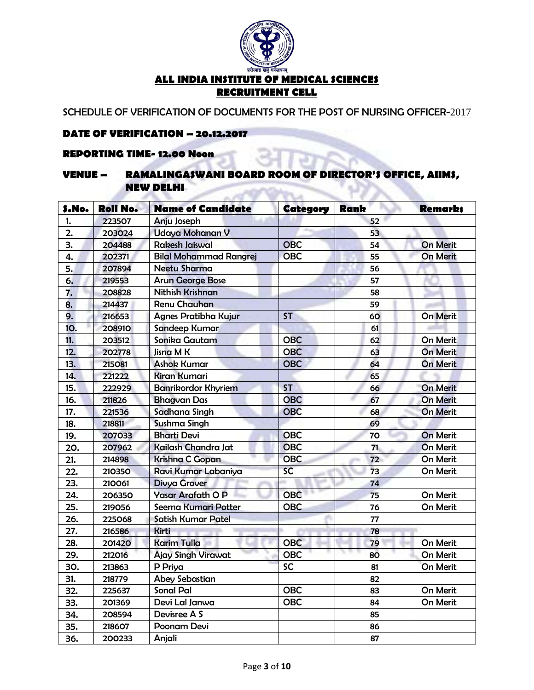

SCHEDULE OF VERIFICATION OF DOCUMENTS FOR THE POST OF NURSING OFFICER-2017

#### **DATE OF VERIFICATION – 20.12.2017**

#### **REPORTING TIME- 12.00 Noon**

#### **VENUE – RAMALINGASWANI BOARD ROOM OF DIRECTOR'S OFFICE, AIIMS, NEW DELHI**  $-10$ **COMPANY**

. and

| S.No. | <b>Roll No.</b> | <b>Name of Candidate</b>      | Category   | Rank | <b>Remarks</b>  |
|-------|-----------------|-------------------------------|------------|------|-----------------|
| 1.    | 223507          | Anju Joseph                   |            | 52   |                 |
| 2.    | 203024          | <b>Udaya Mohanan V</b>        |            | 53   |                 |
| 3.    | 204488          | <b>Rakesh Jaiswal</b>         | <b>OBC</b> | 54   | <b>On Merit</b> |
| 4.    | 202371          | <b>Bilal Mohammad Rangrej</b> | <b>OBC</b> | 55   | <b>On Merit</b> |
| 5.    | 207894          | <b>Neetu Sharma</b>           |            | 56   |                 |
| 6.    | 219553          | <b>Arun George Bose</b>       |            | 57   |                 |
| 7.    | 208828          | <b>Nithish Krishnan</b>       |            | 58   |                 |
| 8.    | 214437          | <b>Renu Chauhan</b>           |            | 59   |                 |
| 9.    | 216653          | <b>Agnes Pratibha Kujur</b>   | <b>ST</b>  | 60   | <b>On Merit</b> |
| 10.   | 208910          | Sandeep Kumar                 |            | 61   |                 |
| 11.   | 203512          | Sonika Gautam                 | <b>OBC</b> | 62   | <b>On Merit</b> |
| 12.   | 202778          | Jisna M K                     | <b>OBC</b> | 63   | <b>On Merit</b> |
| 13.   | 215081          | <b>Ashok Kumar</b>            | <b>OBC</b> | 64   | <b>On Merit</b> |
| 14.   | 221222          | <b>Kiran Kumari</b>           |            | 65   |                 |
| 15.   | 222929          | <b>Banrikordor Khyriem</b>    | <b>ST</b>  | 66   | <b>On Merit</b> |
| 16.   | 211826          | <b>Bhagvan Das</b>            | <b>OBC</b> | 67   | <b>On Merit</b> |
| 17.   | 221536          | Sadhana Singh                 | <b>OBC</b> | 68   | <b>On Merit</b> |
| 18.   | 218811          | <b>Sushma Singh</b>           |            | 69   |                 |
| 19.   | 207033          | <b>Bharti Devi</b>            | <b>OBC</b> | 70   | <b>On Merit</b> |
| 20.   | 207962          | Kailash Chandra Jat           | <b>OBC</b> | 71.  | On Merit        |
| 21.   | 214898          | <b>Krishna C Gopan</b>        | <b>OBC</b> | 72   | On Merit        |
| 22.   | 210350          | Ravi Kumar Labaniya           | SC.        | 73   | On Merit        |
| 23.   | 210061          | <b>Divya Grover</b>           |            | 74   |                 |
| 24.   | 206350          | Yasar Arafath O P             | <b>OBC</b> | 75   | On Merit        |
| 25.   | 219056          | Seema Kumari Potter           | <b>OBC</b> | 76   | On Merit        |
| 26.   | 225068          | <b>Satish Kumar Patel</b>     |            | 77   |                 |
| 27.   | 216586          | <b>Kirti</b>                  |            | 78   |                 |
| 28.   | 201420          | <b>Karim Tulla</b>            | <b>OBC</b> | 79   | On Merit        |
| 29.   | 212016          | <b>Ajay Singh Virawat</b>     | <b>OBC</b> | 80   | On Merit        |
| 30.   | 213863          | P Priya                       | <b>SC</b>  | 81   | On Merit        |
| 31.   | 218779          | <b>Abey Sebastian</b>         |            | 82   |                 |
| 32.   | 225637          | <b>Sonal Pal</b>              | <b>OBC</b> | 83   | On Merit        |
| 33.   | 201369          | Devi Lal Janwa                | <b>OBC</b> | 84   | On Merit        |
| 34.   | 208594          | Devisree A S                  |            | 85   |                 |
| 35.   | 218607          | Poonam Devi                   |            | 86   |                 |
| 36.   | 200233          | Anjali                        |            | 87   |                 |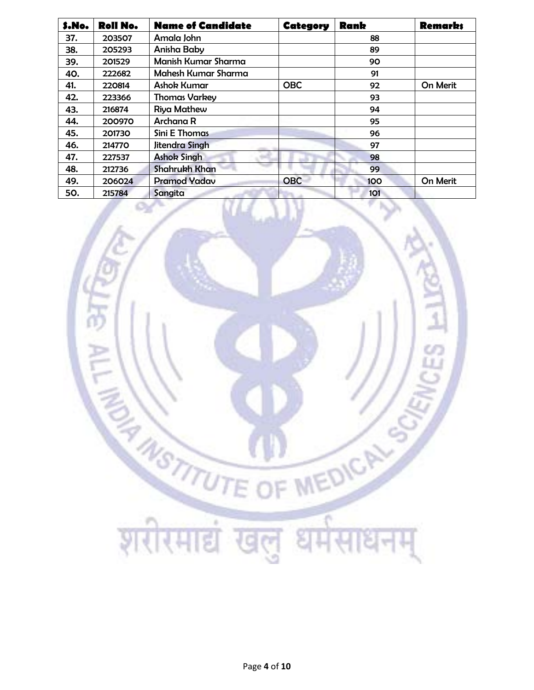| S.No. | <b>Roll No.</b> | <b>Name of Candidate</b>   | Category   | <b>Rank</b> | <b>Remarks</b> |
|-------|-----------------|----------------------------|------------|-------------|----------------|
| 37.   | 203507          | Amala John                 |            | 88          |                |
| 38.   | 205293          | Anisha Baby                |            | 89          |                |
| 39.   | 201529          | <b>Manish Kumar Sharma</b> |            | 90          |                |
| 40.   | 222682          | Mahesh Kumar Sharma        |            | 91          |                |
| 41.   | 220814          | <b>Ashok Kumar</b>         | <b>OBC</b> | 92          | On Merit       |
| 42.   | 223366          | <b>Thomas Varkey</b>       |            | 93          |                |
| 43.   | 216874          | <b>Riya Mathew</b>         |            | 94          |                |
| 44.   | 200970          | Archana R                  |            | 95          |                |
| 45.   | 201730          | Sini E Thomas              |            | 96          |                |
| 46.   | 214770          | Jitendra Singh             |            | 97          |                |
| 47.   | 227537          | <b>Ashok Singh</b>         |            | 98          |                |
| 48.   | 212736          | <b>Shahrukh Khan</b>       |            | 99          |                |
| 49.   | 206024          | <b>Pramod Yadav</b>        | <b>OBC</b> | 100         | On Merit       |
| 50.   | 215784          | Sangita                    |            | <b>101</b>  |                |

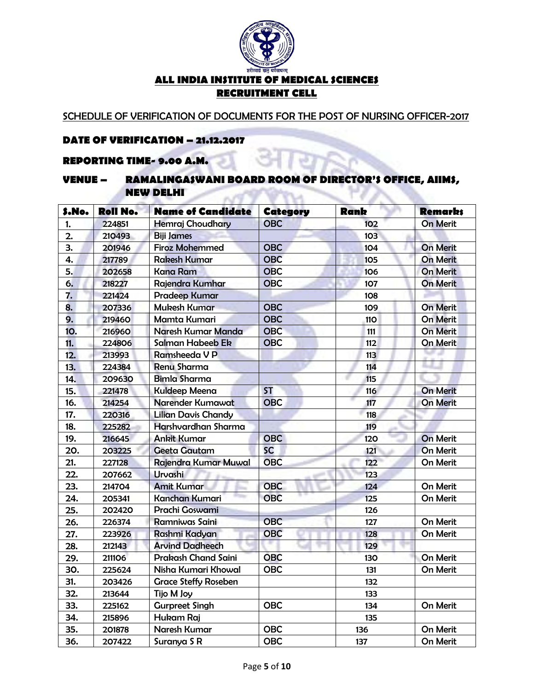

SCHEDULE OF VERIFICATION OF DOCUMENTS FOR THE POST OF NURSING OFFICER-2017

# **DATE OF VERIFICATION – 21.12.2017**

#### **REPORTING TIME- 9.00 A.M.**

#### **VENUE – RAMALINGASWANI BOARD ROOM OF DIRECTOR'S OFFICE, AIIMS, NEW DELHI ANTIFICIAL** VYU

| S.No.      | <b>Roll No.</b> | <b>Name of Candidate</b>    | Category   | Rank       | <b>Remarks</b>  |
|------------|-----------------|-----------------------------|------------|------------|-----------------|
| 1.         | 224851          | <b>Hemraj Choudhary</b>     | <b>OBC</b> | 102        | <b>On Merit</b> |
| 2.         | 210493          | <b>Biji James</b>           |            | 103        |                 |
| 3.         | 201946          | <b>Firoz Mohemmed</b>       | <b>OBC</b> | 104        | On Merit        |
| 4.         | 217789          | <b>Rakesh Kumar</b>         | <b>OBC</b> | 105        | <b>On Merit</b> |
| 5.         | 202658          | <b>Kana Ram</b>             | <b>OBC</b> | 106        | <b>On Merit</b> |
| 6.         | 218227          | Rajendra Kumhar             | <b>OBC</b> | 107        | <b>On Merit</b> |
| 7.         | 221424          | <b>Pradeep Kumar</b>        |            | 108        |                 |
| 8.         | 207336          | <b>Mukesh Kumar</b>         | <b>OBC</b> | 109        | <b>On Merit</b> |
| 9.         | 219460          | Mamta Kumari                | <b>OBC</b> | <b>110</b> | <b>On Merit</b> |
| <b>10.</b> | 216960          | Naresh Kumar Manda          | <b>OBC</b> | 111        | On Merit        |
| 11.        | 224806          | Salman Habeeb Ek            | <b>OBC</b> | 112        | <b>On Merit</b> |
| 12.        | 213993          | Ramsheeda V P               |            | 113        |                 |
| 13.        | 224384          | <b>Renu Sharma</b>          |            | 114        |                 |
| 14.        | 209630          | <b>Bimla Sharma</b>         |            | 115        |                 |
| 15.        | 221478          | <b>Kuldeep Meena</b>        | <b>ST</b>  | 116        | <b>On Merit</b> |
| 16.        | 214254          | Narender Kumawat            | <b>OBC</b> | 117        | On Merit        |
| 17.        | 220316          | <b>Lilian Davis Chandy</b>  |            | 118        |                 |
| 18.        | 225282          | Harshvardhan Sharma         |            | 119        |                 |
| 19.        | 216645          | <b>Ankit Kumar</b>          | <b>OBC</b> | 120        | <b>On Merit</b> |
| 20.        | 203225          | <b>Geeta Gautam</b>         | <b>SC</b>  | 121        | <b>On Merit</b> |
| 21.        | 227128          | Rajendra Kumar Muwal        | <b>OBC</b> | 122        | On Merit        |
| 22.        | 207662          | Urvashi                     |            | 123        |                 |
| 23.        | 214704          | <b>Amit Kumar</b>           | <b>OBC</b> | 124        | On Merit        |
| 24.        | 205341          | <b>Kanchan Kumari</b>       | <b>OBC</b> | 125        | On Merit        |
| 25.        | 202420          | Prachi Goswami              |            | 126        |                 |
| 26.        | 226374          | Ramniwas Saini              | <b>OBC</b> | 127        | On Merit        |
| 27.        | 223926          | Rashmi Kadyan               | <b>OBC</b> | 128        | On Merit        |
| 28.        | 212143          | <b>Arvind Dadheech</b>      |            | 129        |                 |
| 29.        | 211106          | <b>Prakash Chand Saini</b>  | <b>OBC</b> | 130        | On Merit        |
| 30.        | 225624          | Nisha Kumari Khowal         | <b>OBC</b> | 131        | On Merit        |
| 31.        | 203426          | <b>Grace Steffy Roseben</b> |            | 132        |                 |
| 32.        | 213644          | Tijo M Joy                  |            | 133        |                 |
| 33.        | 225162          | <b>Gurpreet Singh</b>       | <b>OBC</b> | 134        | On Merit        |
| 34.        | 215896          | Hukam Raj                   |            | 135        |                 |
| 35.        | 201878          | Naresh Kumar                | <b>OBC</b> | 136        | On Merit        |
| 36.        | 207422          | Suranya S R                 | <b>OBC</b> | 137        | On Merit        |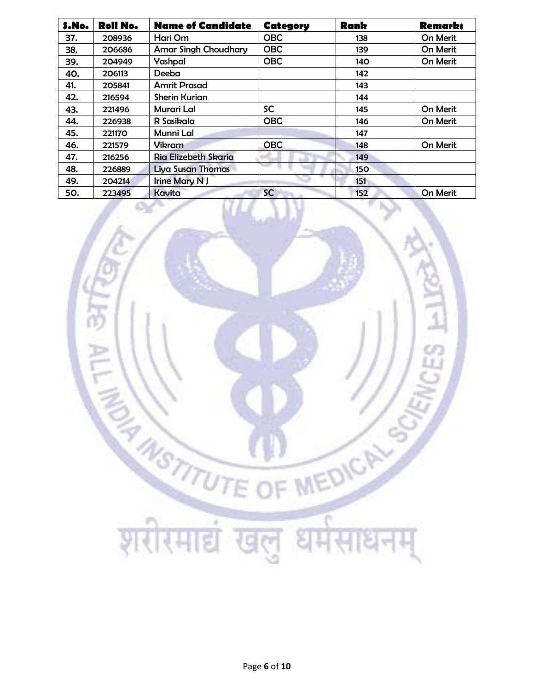| S.No. | <b>Roll No.</b> | <b>Name of Candidate</b>    | Category   | <b>Rank</b> | <b>Remarks</b> |
|-------|-----------------|-----------------------------|------------|-------------|----------------|
| 37.   | 208936          | Hari Om                     | <b>OBC</b> | 138         | On Merit       |
| 38.   | 206686          | <b>Amar Singh Choudhary</b> | <b>OBC</b> | 139         | On Merit       |
| 39.   | 204949          | Yashpal                     | <b>OBC</b> | 140         | On Merit       |
| 40.   | 206113          | Deeba                       |            | 142         |                |
| 41.   | 205841          | <b>Amrit Prasad</b>         |            | 143         |                |
| 42.   | 216594          | <b>Sherin Kurian</b>        |            | 144         |                |
| 43.   | 221496          | <b>Murari Lal</b>           | <b>SC</b>  | 145         | On Merit       |
| 44.   | 226938          | R Sasikala                  | <b>OBC</b> | 146         | On Merit       |
| 45.   | 221170          | Munni Lal                   |            | 147         |                |
| 46.   | 221579          | <b>Vikram</b>               | <b>OBC</b> | 148         | On Merit       |
| 47.   | 216256          | Ria Elizebeth Skaria        |            | 149         |                |
| 48.   | 226889          | Liya Susan Thomas           |            | <b>150</b>  |                |
| 49.   | 204214          | <b>Irine Mary N J</b>       |            | 151         |                |
| 50.   | 223495          | Kavita                      | <b>SC</b>  | 152         | On Merit       |

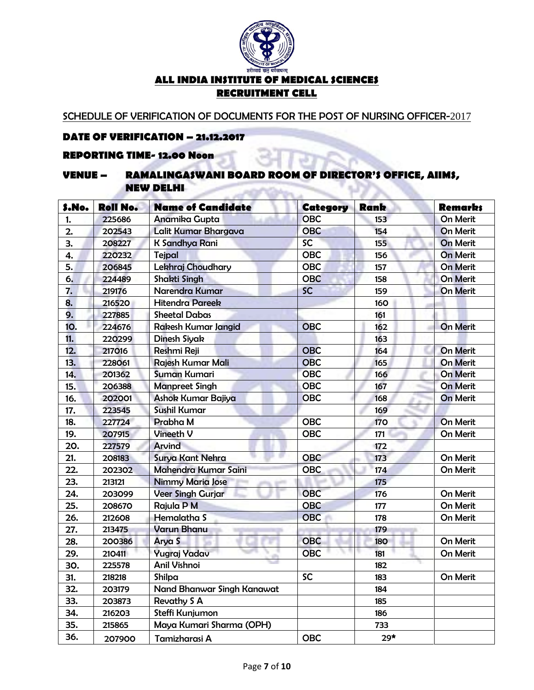

SCHEDULE OF VERIFICATION OF DOCUMENTS FOR THE POST OF NURSING OFFICER-2017

#### **DATE OF VERIFICATION – 21.12.2017**

# **REPORTING TIME- 12.00 Noon**

#### **VENUE – RAMALINGASWANI BOARD ROOM OF DIRECTOR'S OFFICE, AIIMS, NEW DELHI CONTRACTOR**

**COL** 

| \$.No.     | <b>Roll No.</b> | <b>Name of Candidate</b>   | Category   | <b>Rank</b> | <b>Remarks</b>  |
|------------|-----------------|----------------------------|------------|-------------|-----------------|
| 1.         | 225686          | Anamika Gupta              | <b>OBC</b> | 153         | On Merit        |
| 2.         | 202543          | Lalit Kumar Bhargava       | OBC        | 154         | <b>On Merit</b> |
| 3.         | 208227          | K Sandhya Rani             | <b>SC</b>  | 155         | <b>On Merit</b> |
| 4.         | 220232          | Tejpal                     | <b>OBC</b> | 156         | <b>On Merit</b> |
| 5.         | 206845          | Lekhraj Choudhary          | <b>OBC</b> | 157         | <b>On Merit</b> |
| 6.         | 224489          | <b>Shakti Singh</b>        | <b>OBC</b> | 158         | On Merit        |
| 7.         | 219176          | Narendra Kumar             | <b>SC</b>  | 159         | <b>On Merit</b> |
| 8.         | 216520          | <b>Hitendra Pareek</b>     |            | 160         |                 |
| 9.         | 227885          | <b>Sheetal Dabas</b>       |            | 161         |                 |
| <b>10.</b> | 224676          | Rakesh Kumar Jangid        | <b>OBC</b> | 162         | <b>On Merit</b> |
| 11.        | 220299          | Dinesh Siyak               |            | 163         |                 |
| 12.        | 217016          | <b>Reshmi Reji</b>         | <b>OBC</b> | 164         | <b>On Merit</b> |
| 13.        | 228061          | Rajesh Kumar Mali          | <b>OBC</b> | 165         | On Merit        |
| 14.        | 201362          | <b>Suman Kumari</b>        | <b>OBC</b> | 166         | On Merit        |
| 15.        | 206388          | <b>Manpreet Singh</b>      | <b>OBC</b> | 167         | <b>On Merit</b> |
| 16.        | 202001          | Ashok Kumar Bajiya         | <b>OBC</b> | 168         | <b>On Merit</b> |
| 17.        | 223545          | <b>Sushil Kumar</b>        |            | 169         |                 |
| 18.        | 227724          | Prabha M                   | <b>OBC</b> | <b>170</b>  | On Merit        |
| 19.        | 207915          | Vineeth V                  | <b>OBC</b> | 171         | On Merit        |
| 20.        | 227579          | Arvind                     |            | 172         |                 |
| 21.        | 208183          | Surya Kant Nehra           | <b>OBC</b> | 173         | On Merit        |
| 22.        | 202302          | Mahendra Kumar Saini       | <b>OBC</b> | 174         | On Merit        |
| 23.        | 213121          | <b>Nimmy Maria Jose</b>    |            | 175         |                 |
| 24.        | 203099          | <b>Veer Singh Gurjar</b>   | <b>OBC</b> | 176         | On Merit        |
| 25.        | 208670          | Rajula P M                 | <b>OBC</b> | 177         | On Merit        |
| 26.        | 212608          | Hemalatha S                | <b>OBC</b> | 178         | On Merit        |
| 27.        | 213475          | <b>Varun Bhanu</b>         |            | 179         |                 |
| 28.        | 200386          | Arya S                     | <b>OBC</b> | <b>180</b>  | On Merit        |
| 29.        | 210411          | Yugraj Yadav               | <b>OBC</b> | 181         | On Merit        |
| 30.        | 225578          | Anil Vishnoi               |            | 182         |                 |
| 31.        | 218218          | Shilpa                     | <b>SC</b>  | 183         | On Merit        |
| 32.        | 203179          | Nand Bhanwar Singh Kanawat |            | 184         |                 |
| 33.        | 203873          | <b>Revathy S A</b>         |            | 185         |                 |
| 34.        | 216203          | Steffi Kunjumon            |            | 186         |                 |
| 35.        | 215865          | Maya Kumari Sharma (OPH)   |            | 733         |                 |
| 36.        | 207900          | Tamizharasi A              | <b>OBC</b> | $29*$       |                 |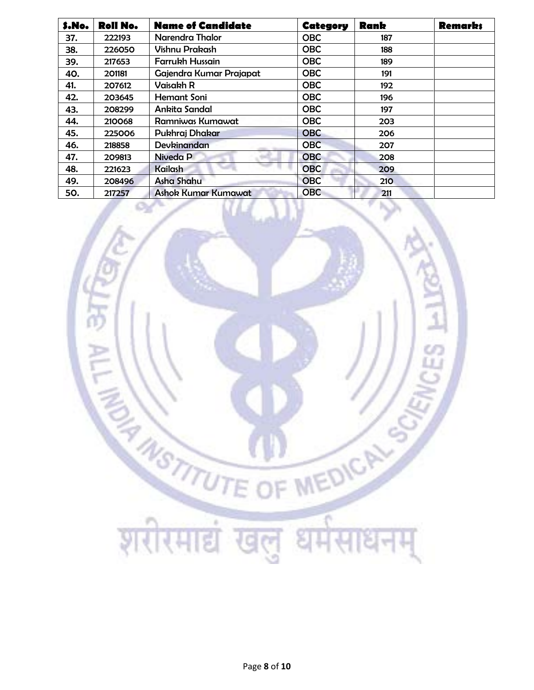| S.No. | <b>Roll No.</b> | <b>Name of Candidate</b>   | Category   | <b>Rank</b> | <b>Remarks</b> |
|-------|-----------------|----------------------------|------------|-------------|----------------|
| 37.   | 222193          | Narendra Thalor            | <b>OBC</b> | 187         |                |
| 38.   | 226050          | <b>Vishnu Prakash</b>      | <b>OBC</b> | 188         |                |
| 39.   | 217653          | <b>Farrukh Hussain</b>     | <b>OBC</b> | 189         |                |
| 40.   | 201181          | Gajendra Kumar Prajapat    | <b>OBC</b> | 191         |                |
| 41.   | 207612          | Vaisakh R                  | <b>OBC</b> | 192         |                |
| 42.   | 203645          | <b>Hemant Soni</b>         | <b>OBC</b> | 196         |                |
| 43.   | 208299          | Ankita Sandal              | <b>OBC</b> | 197         |                |
| 44.   | 210068          | Ramniwas Kumawat           | <b>OBC</b> | 203         |                |
| 45.   | 225006          | Pukhraj Dhakar             | <b>OBC</b> | 206         |                |
| 46.   | 218858          | Devkinandan                | <b>OBC</b> | 207         |                |
| 47.   | 209813          | Niveda P                   | <b>OBC</b> | 208         |                |
| 48.   | 221623          | <b>Kailash</b>             | <b>OBC</b> | 209         |                |
| 49.   | 208496          | Asha Shahu                 | <b>OBC</b> | 210         |                |
| 50.   | 217257          | <b>Ashok Kumar Kumawat</b> | <b>OBC</b> | 211         |                |

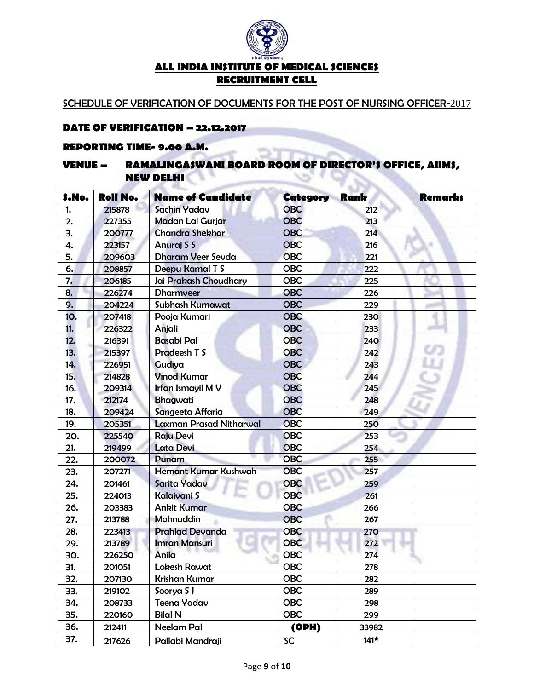

SCHEDULE OF VERIFICATION OF DOCUMENTS FOR THE POST OF NURSING OFFICER-2017

#### **DATE OF VERIFICATION – 22.12.2017**

#### **REPORTING TIME- 9.00 A.M.**

#### **VENUE – RAMALINGASWANI BOARD ROOM OF DIRECTOR'S OFFICE, AIIMS, NEW DELHI**  $35.1$ w **Section 19**

**The State** 

| S.No. | <b>Roll No.</b> | <b>Name of Candidate</b>       | <b>Category</b> | <b>Rank</b> | <b>Remarks</b> |
|-------|-----------------|--------------------------------|-----------------|-------------|----------------|
| 1.    | 215878          | Sachin Yadav                   | <b>OBC</b>      | 212         |                |
| 2.    | 227355          | <b>Madan Lal Gurjar</b>        | <b>OBC</b>      | 213         |                |
| 3.    | 200777          | <b>Chandra Shekhar</b>         | <b>OBC</b>      | 214         |                |
| 4.    | 223157          | Anuraj S S                     | <b>OBC</b>      | 216         |                |
| 5.    | 209603          | <b>Dharam Veer Sevda</b>       | <b>OBC</b>      | 221         |                |
| 6.    | 208857          | Deepu Kamal T S                | <b>OBC</b>      | 222         |                |
| 7.    | 206185          | Jai Prakash Choudhary          | <b>OBC</b>      | 225         |                |
| 8.    | 226274          | <b>Dharmveer</b>               | <b>OBC</b>      | 226         |                |
| 9.    | 204224          | Subhash Kumawat                | <b>OBC</b>      | 229         |                |
| 10.   | 207418          | Pooja Kumari                   | <b>OBC</b>      | 230         |                |
| 11.   | 226322          | Anjali                         | <b>OBC</b>      | 233         |                |
| 12.   | 216391          | <b>Basabi Pal</b>              | <b>OBC</b>      | 240         |                |
| 13.   | 215397          | Pradeesh T S                   | <b>OBC</b>      | 242         |                |
| 14.   | 226951          | Gudiya                         | <b>OBC</b>      | 243         |                |
| 15.   | 214828          | <b>Vinod Kumar</b>             | <b>OBC</b>      | 244         |                |
| 16.   | 209314          | Irfan Ismayil M V              | <b>OBC</b>      | 245         |                |
| 17.   | 212174          | Bhagwati                       | <b>OBC</b>      | 248         |                |
| 18.   | 209424          | Sangeeta Affaria               | <b>OBC</b>      | 249         |                |
| 19.   | 205351          | <b>Laxman Prasad Nitharwal</b> | <b>OBC</b>      | 250         |                |
| 20.   | 225540          | <b>Raju Devi</b>               | <b>OBC</b>      | 253         |                |
| 21.   | 219499          | Lata Devi                      | <b>OBC</b>      | 254         |                |
| 22.   | 200072          | Punam                          | <b>OBC</b>      | 255         |                |
| 23.   | 207271          | Hemant Kumar Kushwah           | <b>OBC</b>      | 257         |                |
| 24.   | 201461          | Sarita Yadav                   | <b>OBC</b>      | 259         |                |
| 25.   | 224013          | Kalaivani S                    | <b>OBC</b>      | 261         |                |
| 26.   | 203383          | <b>Ankit Kumar</b>             | <b>OBC</b>      | 266         |                |
| 27.   | 213788          | Mohnuddin                      | <b>OBC</b>      | 267         |                |
| 28.   | 223413          | <b>Prahlad Devanda</b>         | <b>OBC</b>      | 270         |                |
| 29.   | 213789          | <b>Imran Mansuri</b>           | <b>OBC</b>      | 272         |                |
| 30.   | 226250          | Anila                          | <b>OBC</b>      | 274         |                |
| 31.   | 201051          | Lokesh Rawat                   | <b>OBC</b>      | 278         |                |
| 32.   | 207130          | <b>Krishan Kumar</b>           | OBC             | 282         |                |
| 33.   | 219102          | Soorya SJ                      | <b>OBC</b>      | 289         |                |
| 34.   | 208733          | Teena Yadav                    | <b>OBC</b>      | 298         |                |
| 35.   | 220160          | <b>Bilal N</b>                 | <b>OBC</b>      | 299         |                |
| 36.   | 212411          | Neelam Pal                     | (OPH)           | 33982       |                |
| 37.   | 217626          | Pallabi Mandraji               | <b>SC</b>       | $141*$      |                |